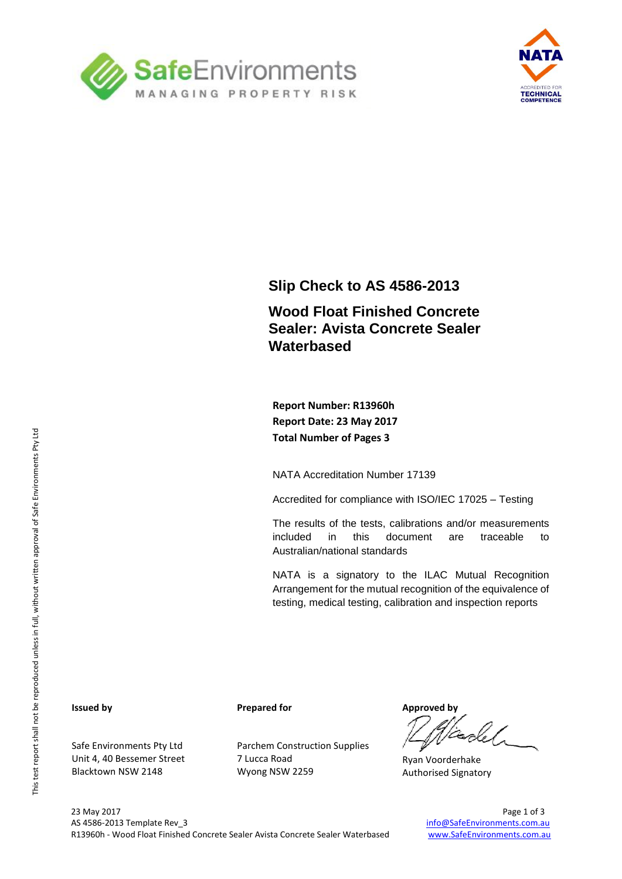



### **Slip Check to AS 4586-2013**

### **Wood Float Finished Concrete Sealer: Avista Concrete Sealer Waterbased**

**Report Number: R13960h Report Date: 23 May 2017 Total Number of Pages 3**

NATA Accreditation Number 17139

Accredited for compliance with ISO/IEC 17025 – Testing

The results of the tests, calibrations and/or measurements included in this document are traceable to Australian/national standards

NATA is a signatory to the ILAC Mutual Recognition Arrangement for the mutual recognition of the equivalence of testing, medical testing, calibration and inspection reports

#### **Issued by**

Safe Environments Pty Ltd Unit 4, 40 Bessemer Street Blacktown NSW 2148

**Prepared for**

Parchem Construction Supplies 7 Lucca Road Wyong NSW 2259

**Approved by**

Ryan Voorderhake Authorised Signatory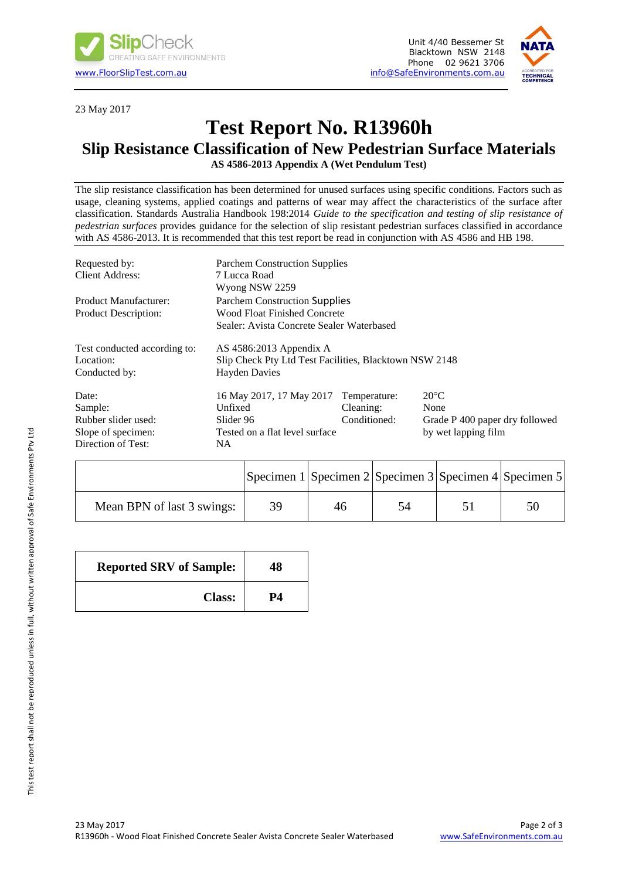



23 May 2017

# **Test Report No. R13960h**

## **Slip Resistance Classification of New Pedestrian Surface Materials**

**AS 4586-2013 Appendix A (Wet Pendulum Test)**

The slip resistance classification has been determined for unused surfaces using specific conditions. Factors such as usage, cleaning systems, applied coatings and patterns of wear may affect the characteristics of the surface after classification. Standards Australia Handbook 198:2014 *Guide to the specification and testing of slip resistance of pedestrian surfaces* provides guidance for the selection of slip resistant pedestrian surfaces classified in accordance with AS 4586-2013. It is recommended that this test report be read in conjunction with AS 4586 and HB 198.

| Requested by:                | <b>Parchem Construction Supplies</b>                   |              |                                |  |  |
|------------------------------|--------------------------------------------------------|--------------|--------------------------------|--|--|
| Client Address:              | 7 Lucca Road                                           |              |                                |  |  |
|                              | Wyong NSW 2259                                         |              |                                |  |  |
| <b>Product Manufacturer:</b> | <b>Parchem Construction Supplies</b>                   |              |                                |  |  |
| <b>Product Description:</b>  | Wood Float Finished Concrete                           |              |                                |  |  |
|                              | Sealer: Avista Concrete Sealer Waterbased              |              |                                |  |  |
| Test conducted according to: | AS $4586:2013$ Appendix A                              |              |                                |  |  |
| Location:                    | Slip Check Pty Ltd Test Facilities, Blacktown NSW 2148 |              |                                |  |  |
| Conducted by:                | <b>Hayden Davies</b>                                   |              |                                |  |  |
| Date:                        | 16 May 2017, 17 May 2017                               | Temperature: | $20^{\circ}$ C                 |  |  |
| Sample:                      | Unfixed                                                | Cleaning:    | None                           |  |  |
| Rubber slider used:          | Slider 96                                              | Conditioned: | Grade P 400 paper dry followed |  |  |
| Slope of specimen:           | Tested on a flat level surface                         |              | by wet lapping film            |  |  |
| Direction of Test:           | NA.                                                    |              |                                |  |  |

|                            |    | Specimen 1 Specimen 2 Specimen 3 Specimen 4 Specimen 5 |    |  |
|----------------------------|----|--------------------------------------------------------|----|--|
| Mean BPN of last 3 swings: | 39 | 46                                                     | 54 |  |

| <b>Reported SRV of Sample:</b> | 48 |
|--------------------------------|----|
| <b>Class:</b>                  | P4 |